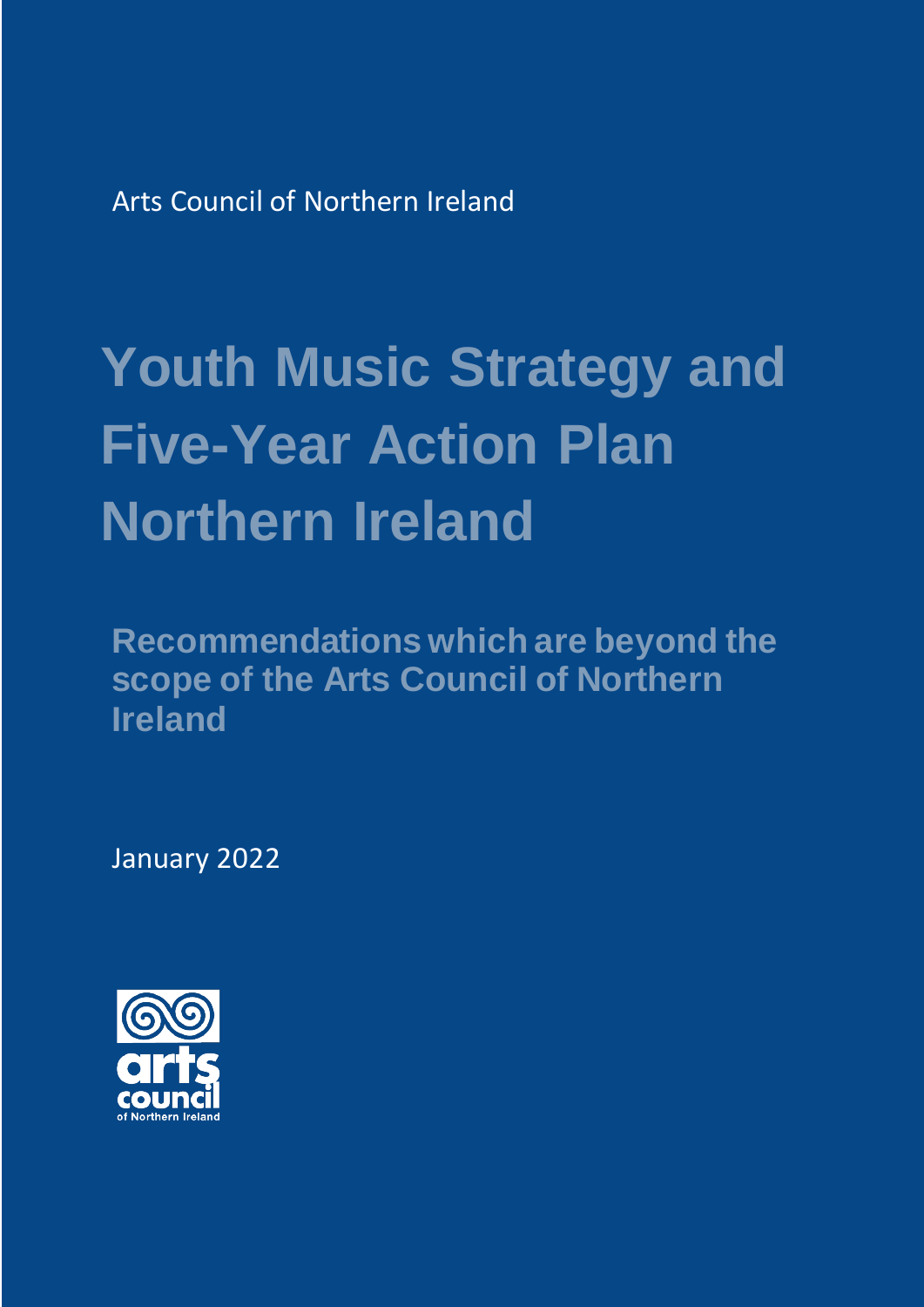Arts Council of Northern Ireland

## **Youth Music Strategy and Five-Year Action Plan Northern Ireland**

**Recommendations which are beyond the scope of the Arts Council of Northern Ireland**

January 2022

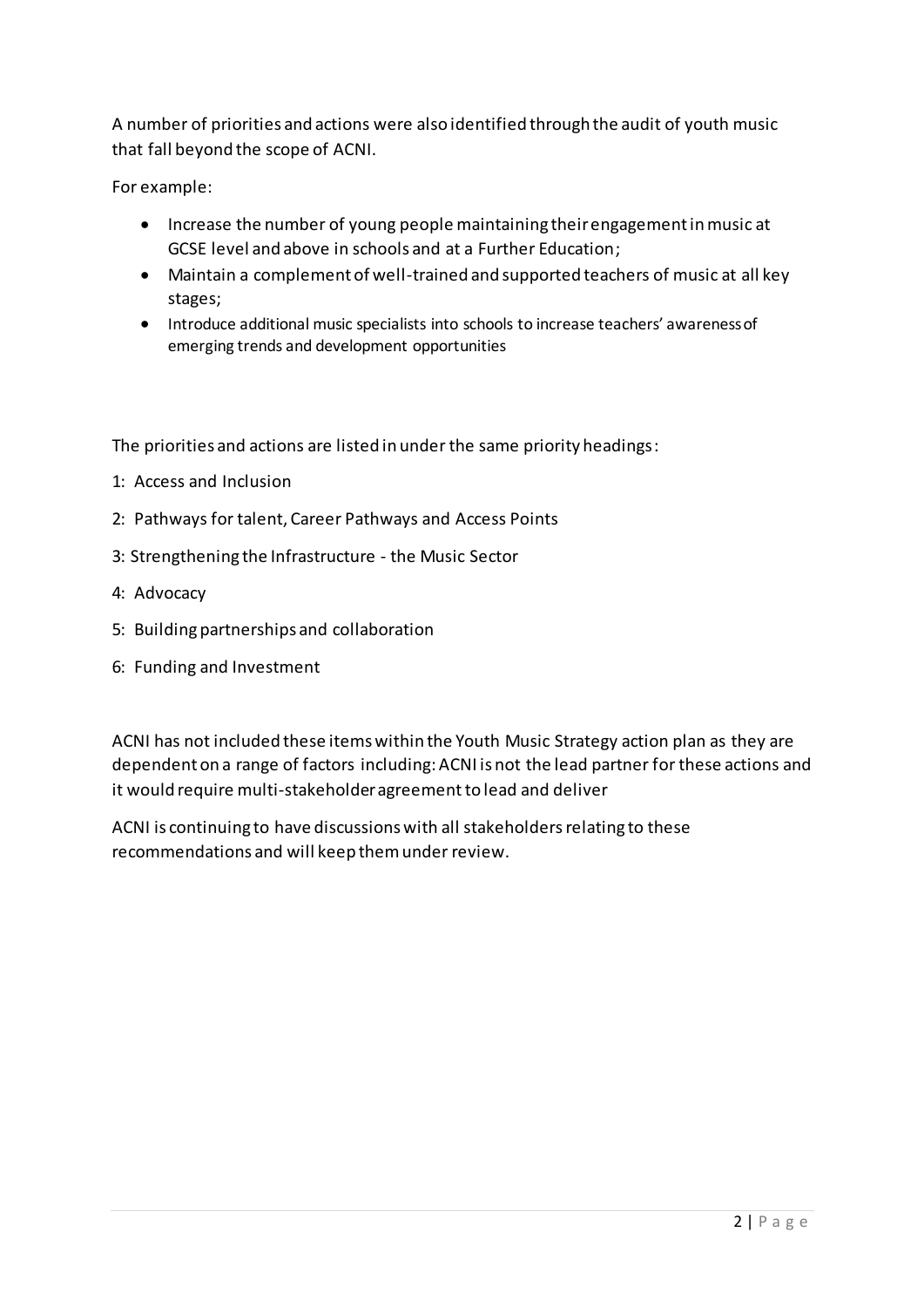A number of priorities and actions were also identified through the audit of youth music that fall beyond the scope of ACNI.

For example:

- Increase the number of young people maintaining their engagement in music at GCSE level and above in schools and at a Further Education;
- Maintain a complement of well-trained and supported teachers of music at all key stages;
- Introduce additional music specialists into schools to increase teachers' awareness of emerging trends and development opportunities

The priorities and actions are listed in under the same priority headings:

- 1: Access and Inclusion
- 2: Pathways for talent, Career Pathways and Access Points
- 3: Strengthening the Infrastructure the Music Sector
- 4: Advocacy
- 5: Building partnerships and collaboration
- 6: Funding and Investment

ACNI has not included these items within the Youth Music Strategy action plan as they are dependent on a range of factors including: ACNI is not the lead partner for these actions and it would require multi-stakeholder agreement to lead and deliver

ACNI is continuing to have discussions with all stakeholders relating to these recommendations and will keep them under review.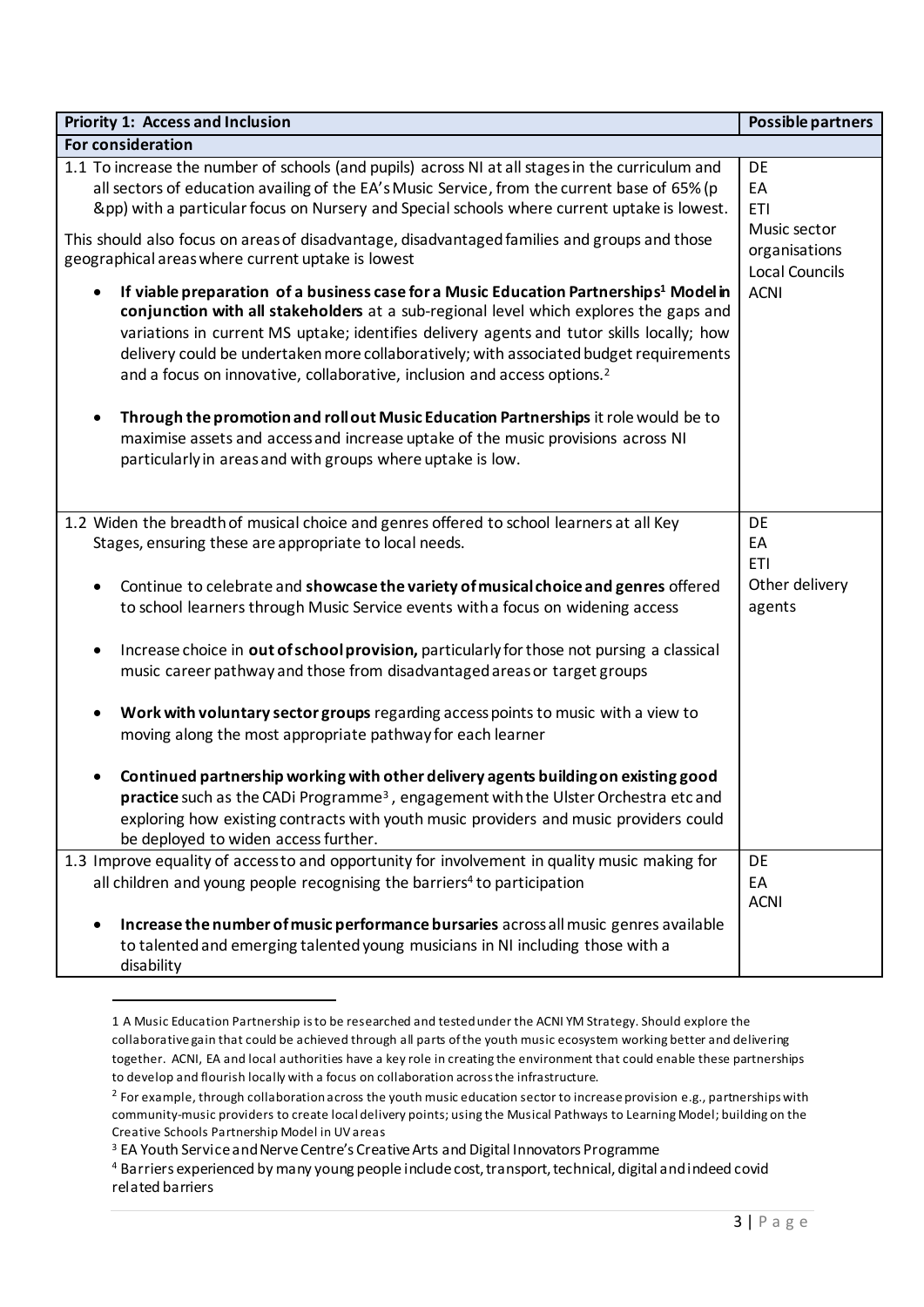| <b>Priority 1: Access and Inclusion</b>                                                                                                                                                                                                                                                                                                                                                                                                                                                | Possible partners                                      |  |
|----------------------------------------------------------------------------------------------------------------------------------------------------------------------------------------------------------------------------------------------------------------------------------------------------------------------------------------------------------------------------------------------------------------------------------------------------------------------------------------|--------------------------------------------------------|--|
| For consideration                                                                                                                                                                                                                                                                                                                                                                                                                                                                      |                                                        |  |
| 1.1 To increase the number of schools (and pupils) across NI at all stages in the curriculum and<br>all sectors of education availing of the EA's Music Service, from the current base of 65% (p<br>&pp) with a particular focus on Nursery and Special schools where current uptake is lowest.                                                                                                                                                                                        | DE<br>EA<br><b>ETI</b>                                 |  |
| This should also focus on areas of disadvantage, disadvantaged families and groups and those<br>geographical areas where current uptake is lowest                                                                                                                                                                                                                                                                                                                                      | Music sector<br>organisations<br><b>Local Councils</b> |  |
| If viable preparation of a business case for a Music Education Partnerships <sup>1</sup> Model in<br>$\bullet$<br>conjunction with all stakeholders at a sub-regional level which explores the gaps and<br>variations in current MS uptake; identifies delivery agents and tutor skills locally; how<br>delivery could be undertaken more collaboratively; with associated budget requirements<br>and a focus on innovative, collaborative, inclusion and access options. <sup>2</sup> | <b>ACNI</b>                                            |  |
| Through the promotion and roll out Music Education Partnerships it role would be to<br>٠<br>maximise assets and access and increase uptake of the music provisions across NI<br>particularly in areas and with groups where uptake is low.                                                                                                                                                                                                                                             |                                                        |  |
| 1.2 Widen the breadth of musical choice and genres offered to school learners at all Key<br>Stages, ensuring these are appropriate to local needs.                                                                                                                                                                                                                                                                                                                                     | DE<br>EA<br><b>ETI</b>                                 |  |
| Continue to celebrate and showcase the variety of musical choice and genres offered<br>$\bullet$<br>to school learners through Music Service events with a focus on widening access                                                                                                                                                                                                                                                                                                    | Other delivery<br>agents                               |  |
| Increase choice in out of school provision, particularly for those not pursing a classical<br>music career pathway and those from disadvantaged areas or target groups                                                                                                                                                                                                                                                                                                                 |                                                        |  |
| Work with voluntary sector groups regarding access points to music with a view to<br>$\bullet$<br>moving along the most appropriate pathway for each learner                                                                                                                                                                                                                                                                                                                           |                                                        |  |
| Continued partnership working with other delivery agents building on existing good<br>practice such as the CADi Programme <sup>3</sup> , engagement with the Ulster Orchestra etc and<br>exploring how existing contracts with youth music providers and music providers could<br>be deployed to widen access further.                                                                                                                                                                 |                                                        |  |
| 1.3 Improve equality of access to and opportunity for involvement in quality music making for<br>all children and young people recognising the barriers <sup>4</sup> to participation                                                                                                                                                                                                                                                                                                  | DE<br>EA<br><b>ACNI</b>                                |  |
| Increase the number of music performance bursaries acrossall music genres available<br>to talented and emerging talented young musicians in NI including those with a<br>disability                                                                                                                                                                                                                                                                                                    |                                                        |  |

<sup>1</sup> A Music Education Partnership is to be researched and tested under the ACNI YM Strategy. Should explore the collaborative gain that could be achieved through all parts of the youth music ecosystem working better and delivering together. ACNI, EA and local authorities have a key role in creating the environment that could enable these partnerships to develop and flourish locally with a focus on collaboration across the infrastructure.

 $\overline{a}$ 

 $^2$  For example, through collaboration across the youth music education sector to increase provision e.g., partnerships with community-music providers to create local delivery points; using the Musical Pathways to Learning Model; building on the Creative Schools Partnership Model in UV areas

<sup>&</sup>lt;sup>3</sup> EA Youth Service and Nerve Centre's Creative Arts and Digital Innovators Programme

<sup>4</sup> Barriers experienced by many young people include cost, transport, technical, digital and indeed covid related barriers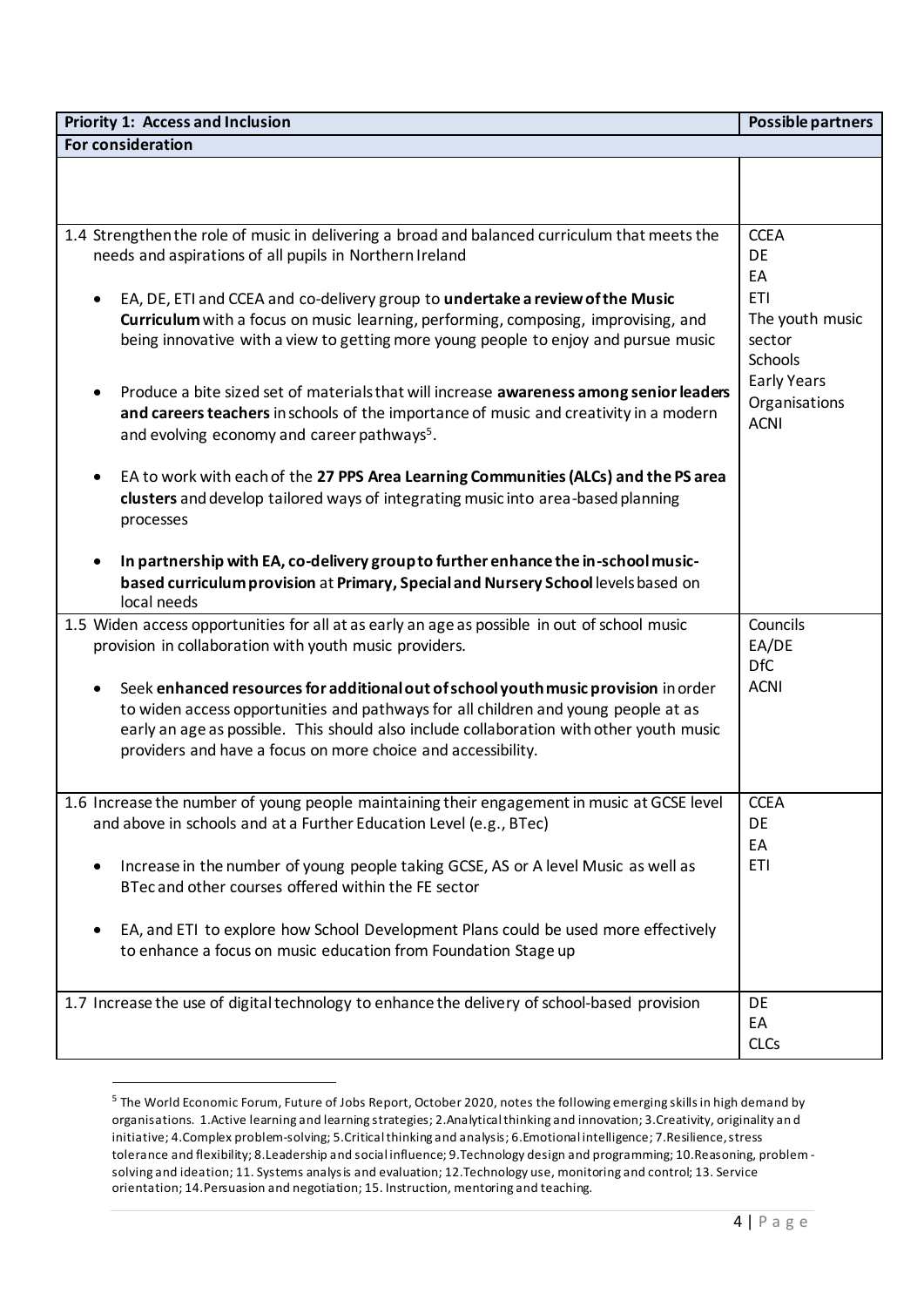| <b>Priority 1: Access and Inclusion</b>                                                                                                                                                                                                                                                                                              | Possible partners                                  |
|--------------------------------------------------------------------------------------------------------------------------------------------------------------------------------------------------------------------------------------------------------------------------------------------------------------------------------------|----------------------------------------------------|
| For consideration                                                                                                                                                                                                                                                                                                                    |                                                    |
|                                                                                                                                                                                                                                                                                                                                      |                                                    |
|                                                                                                                                                                                                                                                                                                                                      |                                                    |
| 1.4 Strengthen the role of music in delivering a broad and balanced curriculum that meets the<br>needs and aspirations of all pupils in Northern Ireland                                                                                                                                                                             | <b>CCEA</b><br>DE<br>EA                            |
| EA, DE, ETI and CCEA and co-delivery group to undertake a review of the Music<br>Curriculum with a focus on music learning, performing, composing, improvising, and<br>being innovative with a view to getting more young people to enjoy and pursue music                                                                           | <b>ETI</b><br>The youth music<br>sector<br>Schools |
| Produce a bite sized set of materials that will increase awareness among senior leaders<br>and careers teachers in schools of the importance of music and creativity in a modern<br>and evolving economy and career pathways <sup>5</sup> .                                                                                          | <b>Early Years</b><br>Organisations<br><b>ACNI</b> |
| EA to work with each of the 27 PPS Area Learning Communities (ALCs) and the PS area<br>clusters and develop tailored ways of integrating music into area-based planning<br>processes                                                                                                                                                 |                                                    |
| In partnership with EA, co-delivery group to further enhance the in-school music-<br>based curriculum provision at Primary, Special and Nursery School levels based on<br>local needs                                                                                                                                                |                                                    |
| 1.5 Widen access opportunities for all at as early an age as possible in out of school music<br>provision in collaboration with youth music providers.                                                                                                                                                                               | Councils<br>EA/DE<br><b>DfC</b>                    |
| Seek enhanced resources for additional out of school youth music provision in order<br>to widen access opportunities and pathways for all children and young people at as<br>early an age as possible. This should also include collaboration with other youth music<br>providers and have a focus on more choice and accessibility. | <b>ACNI</b>                                        |
| 1.6 Increase the number of young people maintaining their engagement in music at GCSE level<br>and above in schools and at a Further Education Level (e.g., BTec)                                                                                                                                                                    | <b>CCEA</b><br>DE<br>EA                            |
| Increase in the number of young people taking GCSE, AS or A level Music as well as<br>BTec and other courses offered within the FE sector                                                                                                                                                                                            | <b>ETI</b>                                         |
| EA, and ETI to explore how School Development Plans could be used more effectively<br>to enhance a focus on music education from Foundation Stage up                                                                                                                                                                                 |                                                    |
| 1.7 Increase the use of digital technology to enhance the delivery of school-based provision                                                                                                                                                                                                                                         | DE<br>EA<br><b>CLCs</b>                            |

<sup>5</sup> The World Economic Forum, Future of Jobs Report, October 2020, notes the following emerging skills in high demand by organisations. 1.Active learning and learning strategies; 2.Analytical thinking and innovation; 3.Creativity, originality an d initiative; 4.Complex problem-solving; 5.Critical thinking and analysis; 6.Emotional intelligence; 7.Resilience, stress tolerance and flexibility; 8.Leadership and social influence; 9.Technology design and programming; 10.Reasoning, problem solving and ideation; 11. Systems analysis and evaluation; 12.Technology use, monitoring and control; 13. Service orientation; 14.Persuasion and negotiation; 15. Instruction, mentoring and teaching.

 $\overline{a}$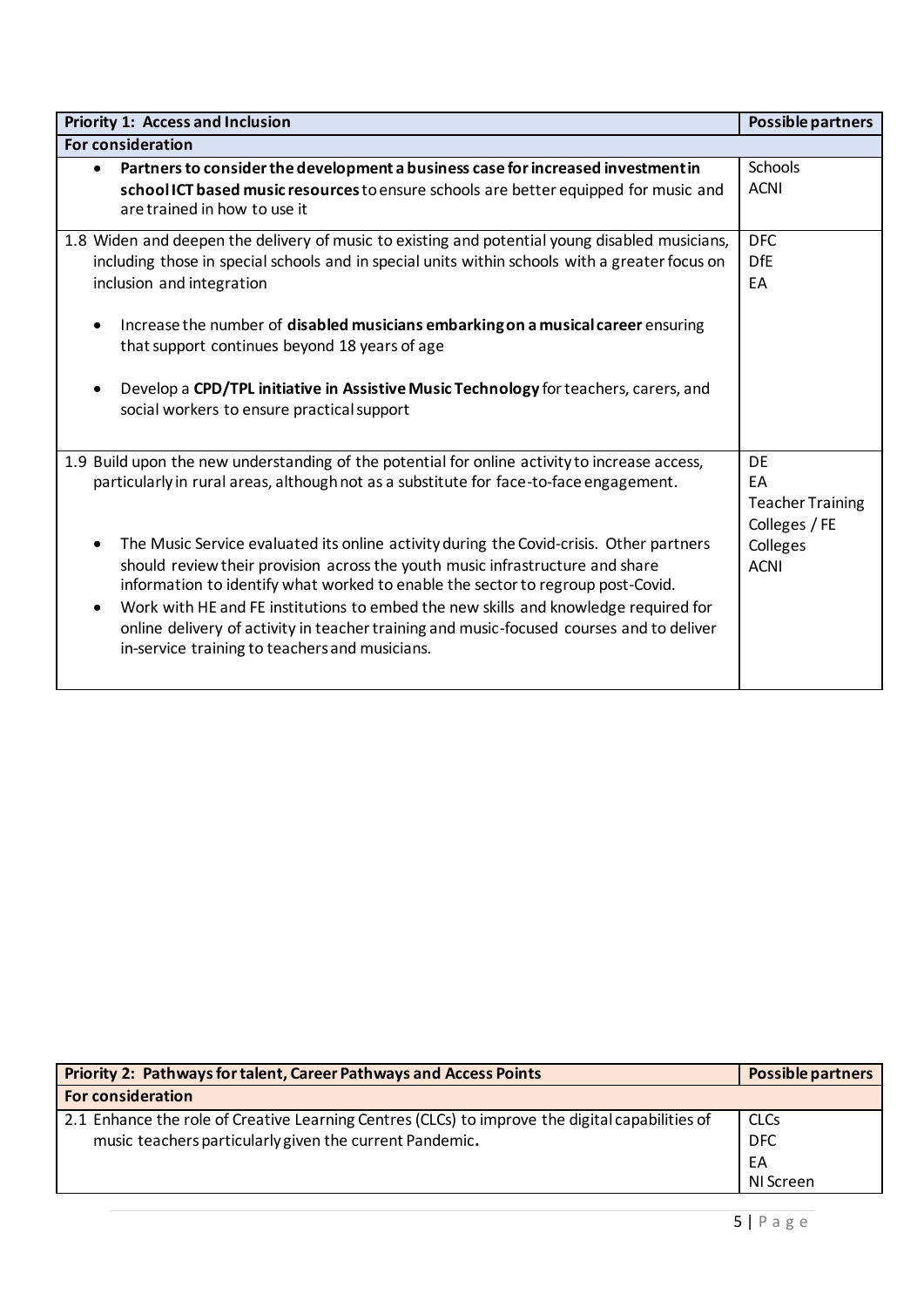| <b>Priority 1: Access and Inclusion</b>                                                                                                                                                                                                                                                                                                                                                                                                                                                                                                                                                                                                                                                                               | Possible partners                                                               |
|-----------------------------------------------------------------------------------------------------------------------------------------------------------------------------------------------------------------------------------------------------------------------------------------------------------------------------------------------------------------------------------------------------------------------------------------------------------------------------------------------------------------------------------------------------------------------------------------------------------------------------------------------------------------------------------------------------------------------|---------------------------------------------------------------------------------|
| <b>For consideration</b>                                                                                                                                                                                                                                                                                                                                                                                                                                                                                                                                                                                                                                                                                              |                                                                                 |
| Partners to consider the development a business case for increased investment in<br>$\bullet$<br>school ICT based music resources to ensure schools are better equipped for music and<br>are trained in how to use it                                                                                                                                                                                                                                                                                                                                                                                                                                                                                                 | <b>Schools</b><br><b>ACNI</b>                                                   |
| 1.8 Widen and deepen the delivery of music to existing and potential young disabled musicians,<br>including those in special schools and in special units within schools with a greater focus on<br>inclusion and integration<br>Increase the number of disabled musicians embarking on a musical career ensuring<br>$\bullet$<br>that support continues beyond 18 years of age<br>Develop a CPD/TPL initiative in Assistive Music Technology for teachers, carers, and<br>$\bullet$<br>social workers to ensure practical support                                                                                                                                                                                    | <b>DFC</b><br>DfE<br>EA                                                         |
| 1.9 Build upon the new understanding of the potential for online activity to increase access,<br>particularly in rural areas, although not as a substitute for face-to-face engagement.<br>The Music Service evaluated its online activity during the Covid-crisis. Other partners<br>$\bullet$<br>should review their provision across the youth music infrastructure and share<br>information to identify what worked to enable the sector to regroup post-Covid.<br>Work with HE and FE institutions to embed the new skills and knowledge required for<br>$\bullet$<br>online delivery of activity in teacher training and music-focused courses and to deliver<br>in-service training to teachers and musicians. | DE<br>EA<br><b>Teacher Training</b><br>Colleges / FE<br>Colleges<br><b>ACNI</b> |

| <b>Priority 2: Pathways for talent, Career Pathways and Access Points</b>                       | Possible partners |  |
|-------------------------------------------------------------------------------------------------|-------------------|--|
| <b>For consideration</b>                                                                        |                   |  |
| 2.1 Enhance the role of Creative Learning Centres (CLCs) to improve the digital capabilities of | <b>CLCs</b>       |  |
| music teachers particularly given the current Pandemic.                                         | <b>DFC</b>        |  |
|                                                                                                 | EA                |  |
|                                                                                                 | NI Screen         |  |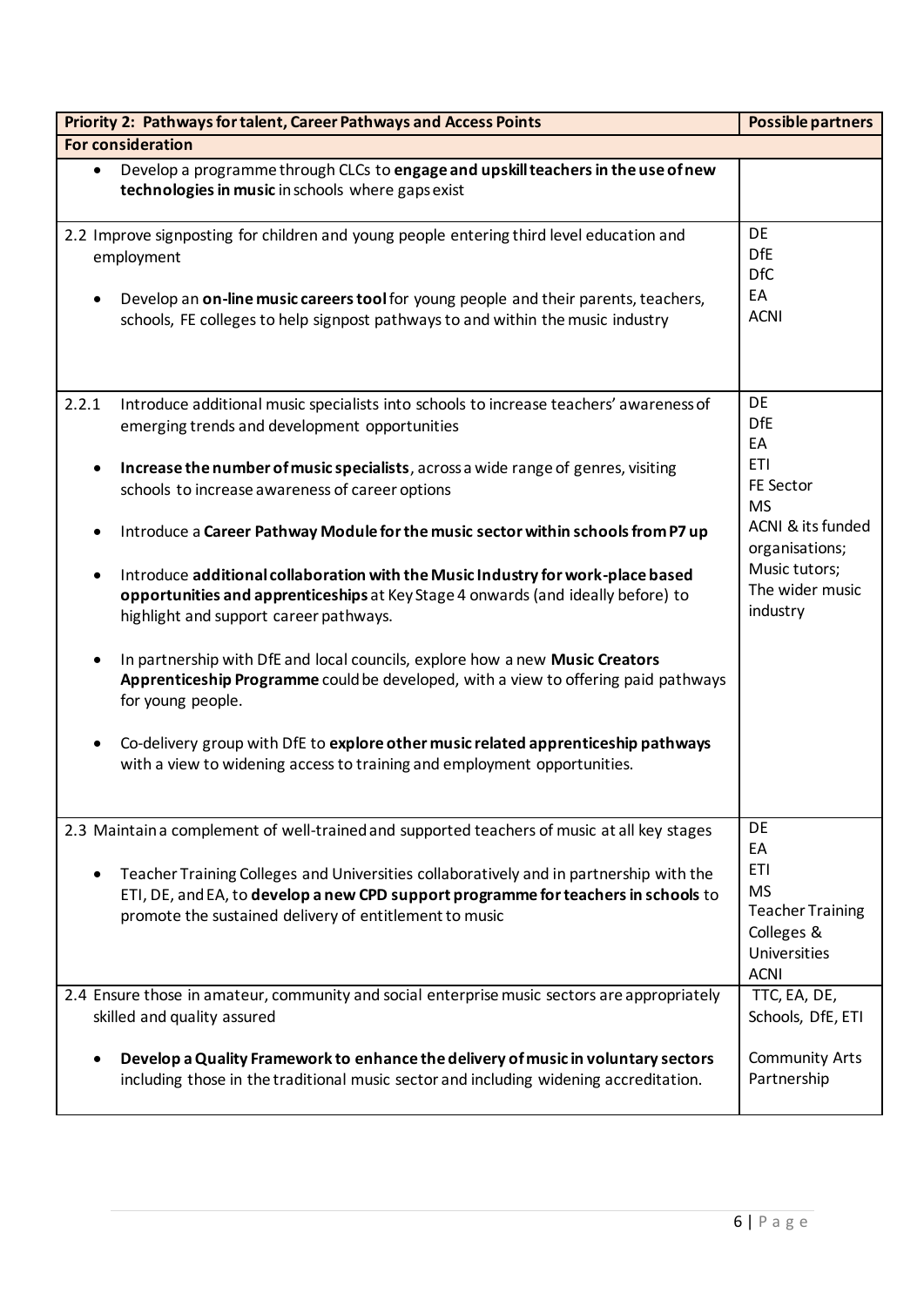| Priority 2: Pathways for talent, Career Pathways and Access Points                                                                                                                                                                                                               | <b>Possible partners</b>                                                                        |
|----------------------------------------------------------------------------------------------------------------------------------------------------------------------------------------------------------------------------------------------------------------------------------|-------------------------------------------------------------------------------------------------|
| For consideration                                                                                                                                                                                                                                                                |                                                                                                 |
| Develop a programme through CLCs to engage and upskill teachers in the use of new<br>$\bullet$<br>technologies in music in schools where gaps exist                                                                                                                              |                                                                                                 |
| 2.2 Improve signposting for children and young people entering third level education and<br>employment<br>Develop an on-line music careers tool for young people and their parents, teachers,<br>schools, FE colleges to help signpost pathways to and within the music industry | DE<br><b>DfE</b><br><b>DfC</b><br>EA<br><b>ACNI</b>                                             |
| 2.2.1<br>Introduce additional music specialists into schools to increase teachers' awareness of<br>emerging trends and development opportunities                                                                                                                                 | <b>DE</b><br><b>DfE</b><br>EA                                                                   |
| Increase the number of music specialists, across a wide range of genres, visiting<br>schools to increase awareness of career options                                                                                                                                             | <b>ETI</b><br>FE Sector<br><b>MS</b>                                                            |
| Introduce a Career Pathway Module for the music sector within schools from P7 up                                                                                                                                                                                                 | ACNI & its funded<br>organisations;<br>Music tutors;                                            |
| Introduce additional collaboration with the Music Industry for work-place based<br>opportunities and apprenticeships at Key Stage 4 onwards (and ideally before) to<br>highlight and support career pathways.                                                                    | The wider music<br>industry                                                                     |
| In partnership with DfE and local councils, explore how a new Music Creators<br>Apprenticeship Programme could be developed, with a view to offering paid pathways<br>for young people.                                                                                          |                                                                                                 |
| Co-delivery group with DfE to explore other music related apprenticeship pathways<br>with a view to widening access to training and employment opportunities.                                                                                                                    |                                                                                                 |
| 2.3 Maintain a complement of well-trained and supported teachers of music at all key stages                                                                                                                                                                                      | DE<br>EA                                                                                        |
| Teacher Training Colleges and Universities collaboratively and in partnership with the<br>ETI, DE, and EA, to develop a new CPD support programme for teachers in schools to<br>promote the sustained delivery of entitlement to music                                           | <b>ETI</b><br><b>MS</b><br><b>Teacher Training</b><br>Colleges &<br>Universities<br><b>ACNI</b> |
| 2.4 Ensure those in amateur, community and social enterprise music sectors are appropriately<br>skilled and quality assured                                                                                                                                                      | TTC, EA, DE,<br>Schools, DfE, ETI                                                               |
| Develop a Quality Framework to enhance the delivery of music in voluntary sectors<br>including those in the traditional music sector and including widening accreditation.                                                                                                       | <b>Community Arts</b><br>Partnership                                                            |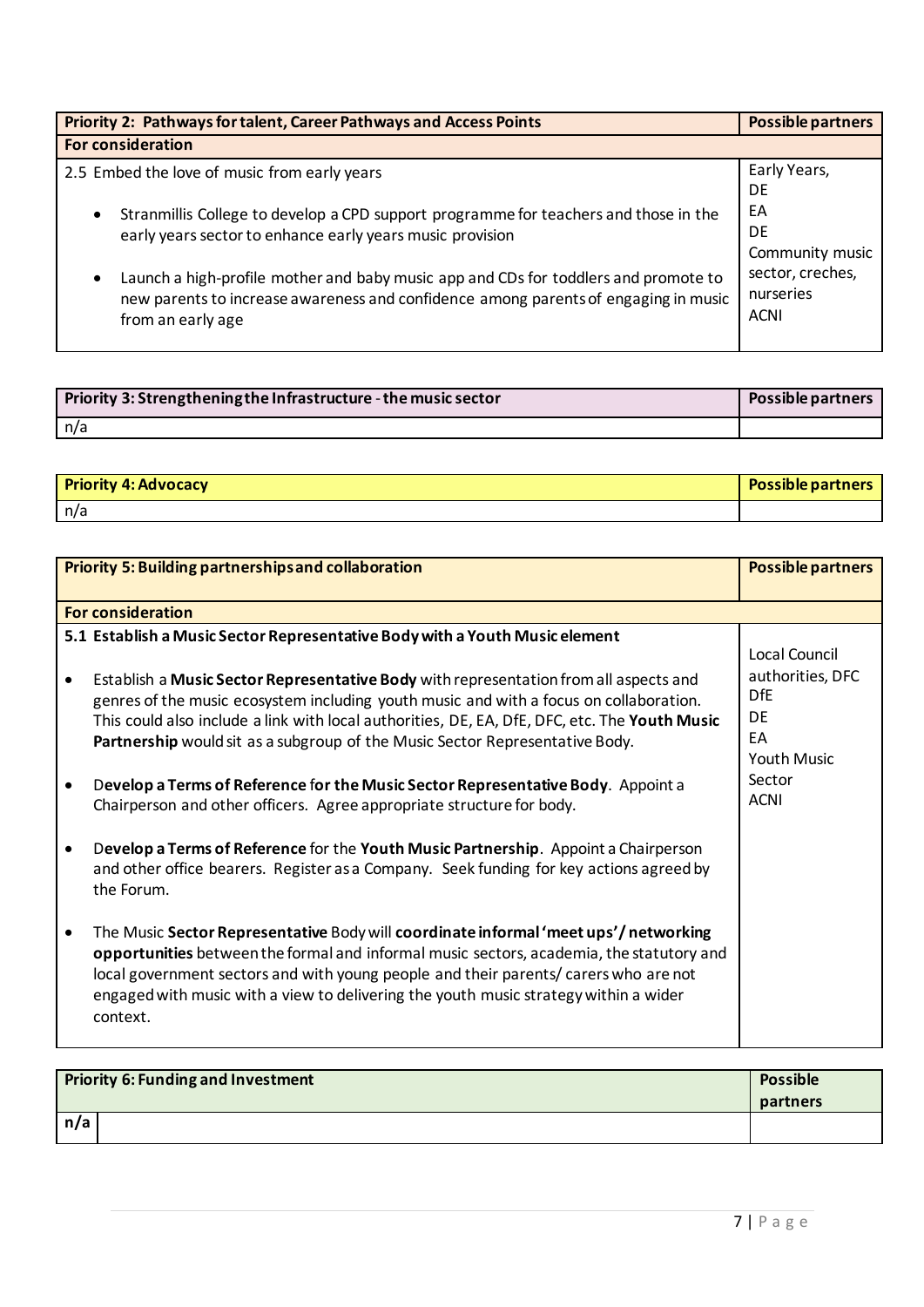| <b>Priority 2: Pathways for talent, Career Pathways and Access Points</b>                                                                                                                                    | <b>Possible partners</b>                     |
|--------------------------------------------------------------------------------------------------------------------------------------------------------------------------------------------------------------|----------------------------------------------|
| <b>For consideration</b>                                                                                                                                                                                     |                                              |
| 2.5 Embed the love of music from early years                                                                                                                                                                 | Early Years,<br>DE                           |
| Stranmillis College to develop a CPD support programme for teachers and those in the<br>$\bullet$<br>early years sector to enhance early years music provision                                               | EA<br><b>DE</b><br>Community music           |
| Launch a high-profile mother and baby music app and CDs for toddlers and promote to<br>$\bullet$<br>new parents to increase awareness and confidence among parents of engaging in music<br>from an early age | sector, creches,<br>nurseries<br><b>ACNI</b> |

| Priority 3: Strengthening the Infrastructure - the music sector | Possible partners |
|-----------------------------------------------------------------|-------------------|
| n/a                                                             |                   |

| <b>Priority 4: Advocacy</b> | <b>Possible partners</b> |
|-----------------------------|--------------------------|
| l n/a                       |                          |

| <b>Priority 5: Building partnerships and collaboration</b>                                                                                                                                                                                                                                                                                                                  | <b>Possible partners</b>                                                |
|-----------------------------------------------------------------------------------------------------------------------------------------------------------------------------------------------------------------------------------------------------------------------------------------------------------------------------------------------------------------------------|-------------------------------------------------------------------------|
| <b>For consideration</b>                                                                                                                                                                                                                                                                                                                                                    |                                                                         |
| 5.1 Establish a Music Sector Representative Body with a Youth Music element                                                                                                                                                                                                                                                                                                 | Local Council                                                           |
| Establish a Music Sector Representative Body with representation from all aspects and<br>genres of the music ecosystem including youth music and with a focus on collaboration.<br>This could also include a link with local authorities, DE, EA, DfE, DFC, etc. The Youth Music<br>Partnership would sit as a subgroup of the Music Sector Representative Body.            | authorities, DFC<br><b>DfF</b><br>DF<br><b>FA</b><br><b>Youth Music</b> |
| Develop a Terms of Reference for the Music Sector Representative Body. Appoint a<br>Chairperson and other officers. Agree appropriate structure for body.                                                                                                                                                                                                                   | Sector<br><b>ACNI</b>                                                   |
| Develop a Terms of Reference for the Youth Music Partnership. Appoint a Chairperson<br>and other office bearers. Register as a Company. Seek funding for key actions agreed by<br>the Forum.                                                                                                                                                                                |                                                                         |
| The Music Sector Representative Body will coordinate informal 'meet ups'/networking<br>opportunities between the formal and informal music sectors, academia, the statutory and<br>local government sectors and with young people and their parents/ carers who are not<br>engaged with music with a view to delivering the youth music strategy within a wider<br>context. |                                                                         |

| <b>Priority 6: Funding and Investment</b> | <b>Possible</b><br>partners |
|-------------------------------------------|-----------------------------|
| n/a                                       |                             |